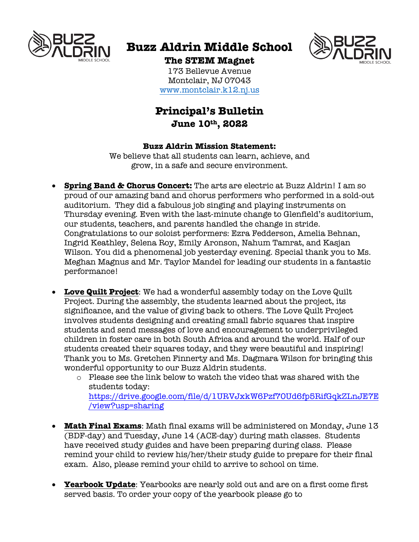

# **Buzz Aldrin Middle School**



## **The STEM Magnet**

173 Bellevue Avenue Montclair, NJ 07043 www.montclair.k12.nj.us

# **Principal's Bulletin June 10th, 2022**

#### **Buzz Aldrin Mission Statement:**

We believe that all students can learn, achieve, and grow, in a safe and secure environment.

- **Spring Band & Chorus Concert:** The arts are electric at Buzz Aldrin! I am so proud of our amazing band and chorus performers who performed in a sold-out auditorium. They did a fabulous job singing and playing instruments on Thursday evening. Even with the last-minute change to Glenfield's auditorium, our students, teachers, and parents handled the change in stride. Congratulations to our soloist performers: Ezra Fedderson, Amelia Behnan, Ingrid Keathley, Selena Roy, Emily Aronson, Nahum Tamrat, and Kasjan Wilson. You did a phenomenal job yesterday evening. Special thank you to Ms. Meghan Magnus and Mr. Taylor Mandel for leading our students in a fantastic performance!
- **Love Quilt Project**: We had a wonderful assembly today on the Love Quilt Project. During the assembly, the students learned about the project, its significance, and the value of giving back to others. The Love Quilt Project involves students designing and creating small fabric squares that inspire students and send messages of love and encouragement to underprivileged children in foster care in both South Africa and around the world. Half of our students created their squares today, and they were beautiful and inspiring! Thank you to Ms. Gretchen Finnerty and Ms. Dagmara Wilson for bringing this wonderful opportunity to our Buzz Aldrin students.
	- $\circ$  Please see the link below to watch the video that was shared with the students today: https://drive.google.com/file/d/1URVJxkW6Pzf70Ud6fp5RifGqkZLnJE7E /view?usp=sharing
- **Math Final Exams**: Math final exams will be administered on Monday, June 13 (BDF-day) and Tuesday, June 14 (ACE-day) during math classes. Students have received study guides and have been preparing during class. Please remind your child to review his/her/their study guide to prepare for their final exam. Also, please remind your child to arrive to school on time.
- **Yearbook Update**: Yearbooks are nearly sold out and are on a first come first served basis. To order your copy of the yearbook please go to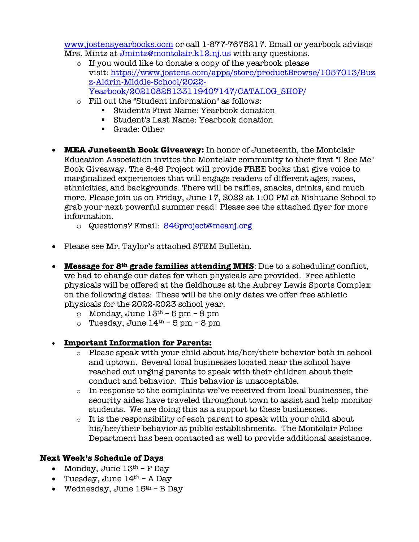www.jostensyearbooks.com or call 1-877-7675217. Email or yearbook advisor Mrs. Mintz at Jmintz@montclair.k12.nj.us with any questions.

- o If you would like to donate a copy of the yearbook please visit: https://www.jostens.com/apps/store/productBrowse/1057013/Buz z-Aldrin-Middle-School/2022- Yearbook/20210825133119407147/CATALOG\_SHOP/
- o Fill out the "Student information" as follows:
	- Student's First Name: Yearbook donation
	- Student's Last Name: Yearbook donation
	- Grade: Other
- **MEA Juneteenth Book Giveaway:** In honor of Juneteenth, the Montclair Education Association invites the Montclair community to their first "I See Me" Book Giveaway. The 8:46 Project will provide FREE books that give voice to marginalized experiences that will engage readers of different ages, races, ethnicities, and backgrounds. There will be raffles, snacks, drinks, and much more. Please join us on Friday, June 17, 2022 at 1:00 PM at Nishuane School to grab your next powerful summer read! Please see the attached flyer for more information.
	- o Questions? Email: 846project@meanj.org
- Please see Mr. Taylor's attached STEM Bulletin.
- **Message for 8th grade families attending MHS**: Due to a scheduling conflict, we had to change our dates for when physicals are provided. Free athletic physicals will be offered at the fieldhouse at the Aubrey Lewis Sports Complex on the following dates: These will be the only dates we offer free athletic physicals for the 2022-2023 school year.
	- o Monday, June  $13<sup>th</sup> 5$  pm  $8$  pm
	- $\circ$  Tuesday, June  $14^{th}$  5 pm 8 pm
- **Important Information for Parents:**
	- $\circ$  Please speak with your child about his/her/their behavior both in school and uptown. Several local businesses located near the school have reached out urging parents to speak with their children about their conduct and behavior. This behavior is unacceptable.
	- o In response to the complaints we've received from local businesses, the security aides have traveled throughout town to assist and help monitor students. We are doing this as a support to these businesses.
	- o It is the responsibility of each parent to speak with your child about his/her/their behavior at public establishments. The Montclair Police Department has been contacted as well to provide additional assistance.

### **Next Week's Schedule of Days**

- Monday, June  $13<sup>th</sup>$  F Day
- Tuesday, June  $14<sup>th</sup>$  A Day
- Wednesday, June  $15<sup>th</sup>$  B Day